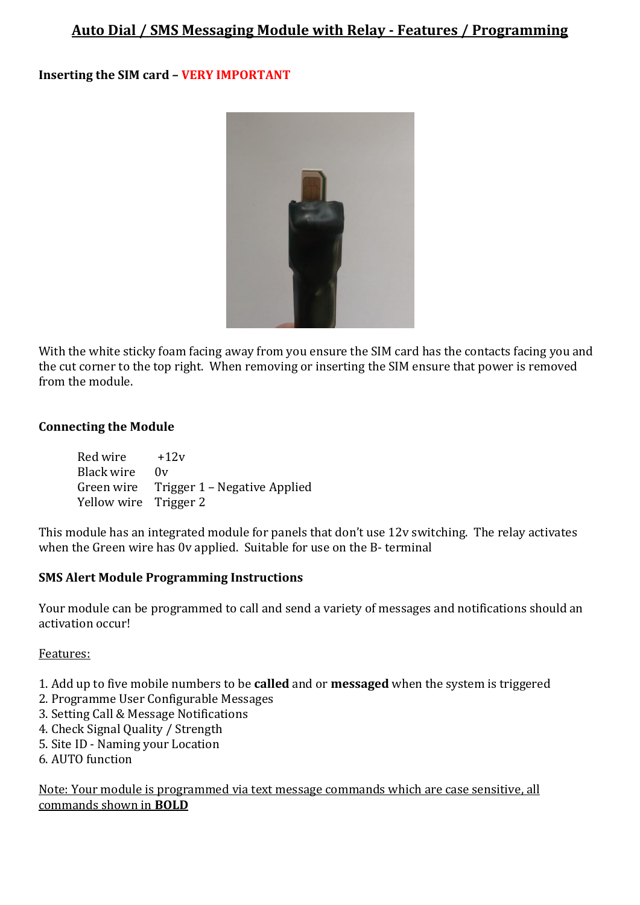# **Auto Dial / SMS Messaging Module with Relay - Features / Programming**

# **Inserting the SIM card – VERY IMPORTANT**



With the white sticky foam facing away from you ensure the SIM card has the contacts facing you and the cut corner to the top right. When removing or inserting the SIM ensure that power is removed from the module.

### **Connecting the Module**

| Red wire              | $+12v$                                  |
|-----------------------|-----------------------------------------|
| Black wire            | 0v                                      |
|                       | Green wire Trigger 1 – Negative Applied |
| Yellow wire Trigger 2 |                                         |

This module has an integrated module for panels that don't use 12v switching. The relay activates when the Green wire has 0v applied. Suitable for use on the B- terminal

### **SMS Alert Module Programming Instructions**

Your module can be programmed to call and send a variety of messages and notifications should an activation occur!

### Features:

- 1. Add up to five mobile numbers to be **called** and or **messaged** when the system is triggered
- 2. Programme User Configurable Messages
- 3. Setting Call & Message Notifications
- 4. Check Signal Quality / Strength
- 5. Site ID Naming your Location
- 6. AUTO function

Note: Your module is programmed via text message commands which are case sensitive, all commands shown in **BOLD**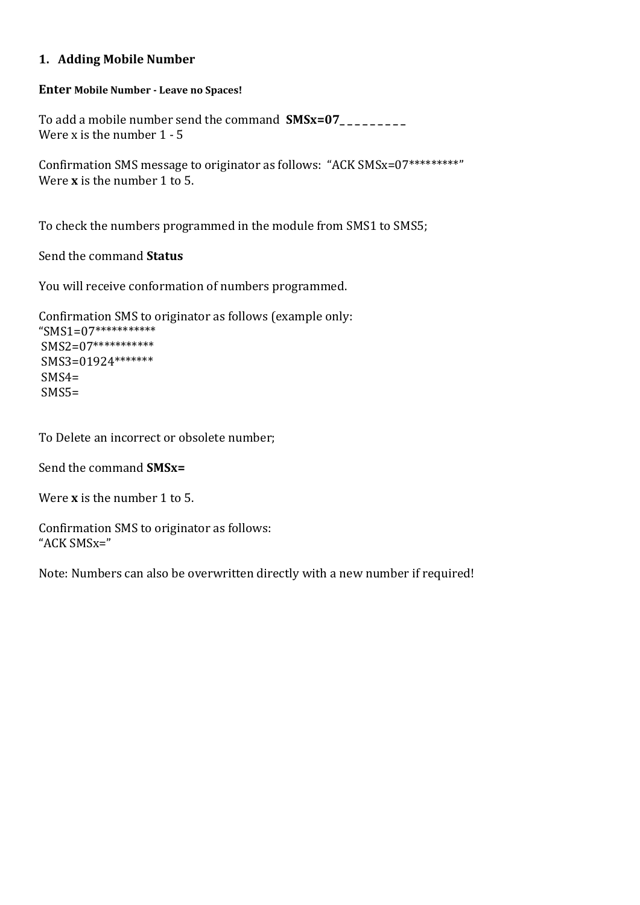# **1. Adding Mobile Number**

#### **Enter Mobile Number - Leave no Spaces!**

To add a mobile number send the command **SMSx=07\_ \_ \_ \_ \_ \_ \_ \_ \_** Were x is the number 1 - 5

Confirmation SMS message to originator as follows: "ACK SMSx=07\*\*\*\*\*\*\*\*\*" Were **x** is the number 1 to 5.

To check the numbers programmed in the module from SMS1 to SMS5;

Send the command **Status** 

You will receive conformation of numbers programmed.

```
Confirmation SMS to originator as follows (example only: 
"SMS1=07***********
SMS2=07***********
SMS3=01924*******
SMS4=SMS5=
```
To Delete an incorrect or obsolete number;

Send the command **SMSx=** 

Were **x** is the number 1 to 5.

Confirmation SMS to originator as follows: "ACK SMSx="

Note: Numbers can also be overwritten directly with a new number if required!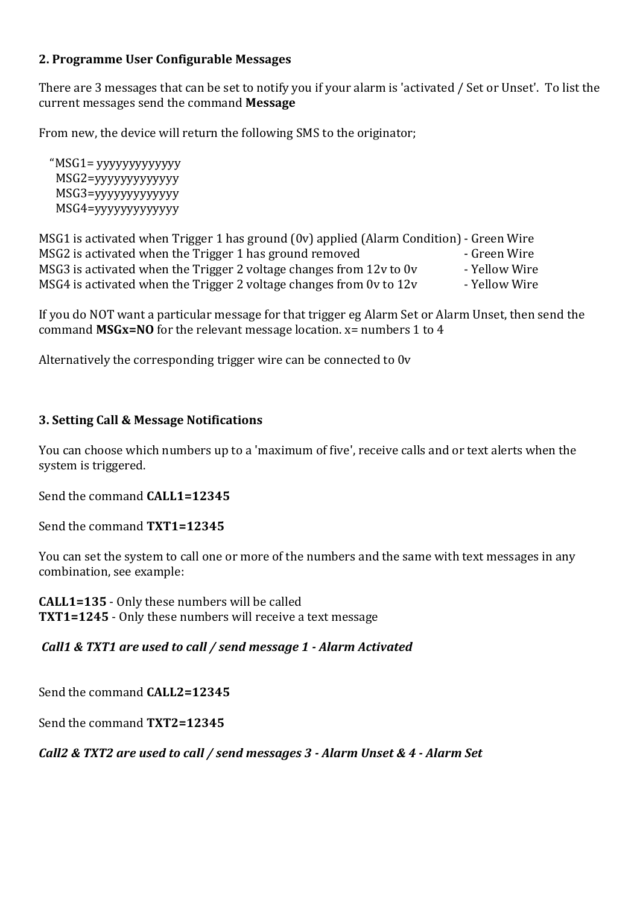## **2. Programme User Configurable Messages**

There are 3 messages that can be set to notify you if your alarm is 'activated / Set or Unset'. To list the current messages send the command **Message**

From new, the device will return the following SMS to the originator;

 "MSG1= yyyyyyyyyyyyy MSG2=yyyyyyyyyyyyy MSG3=yyyyyyyyyyyyy MSG4=yyyyyyyyyyyyy

| MSG1 is activated when Trigger 1 has ground (0v) applied (Alarm Condition) - Green Wire |               |
|-----------------------------------------------------------------------------------------|---------------|
| MSG2 is activated when the Trigger 1 has ground removed                                 | - Green Wire  |
| MSG3 is activated when the Trigger 2 voltage changes from 12y to 0y                     | - Yellow Wire |
| MSG4 is activated when the Trigger 2 voltage changes from 0y to 12y                     | - Yellow Wire |

If you do NOT want a particular message for that trigger eg Alarm Set or Alarm Unset, then send the command **MSGx=NO** for the relevant message location. x= numbers 1 to 4

Alternatively the corresponding trigger wire can be connected to 0v

## **3. Setting Call & Message Notifications**

You can choose which numbers up to a 'maximum of five', receive calls and or text alerts when the system is triggered.

Send the command **CALL1=12345** 

Send the command **TXT1=12345**

You can set the system to call one or more of the numbers and the same with text messages in any combination, see example:

**CALL1=135** - Only these numbers will be called **TXT1=1245** - Only these numbers will receive a text message

*Call1 & TXT1 are used to call / send message 1 - Alarm Activated*

Send the command **CALL2=12345**

Send the command **TXT2=12345**

*Call2 & TXT2 are used to call / send messages 3 - Alarm Unset & 4 - Alarm Set*